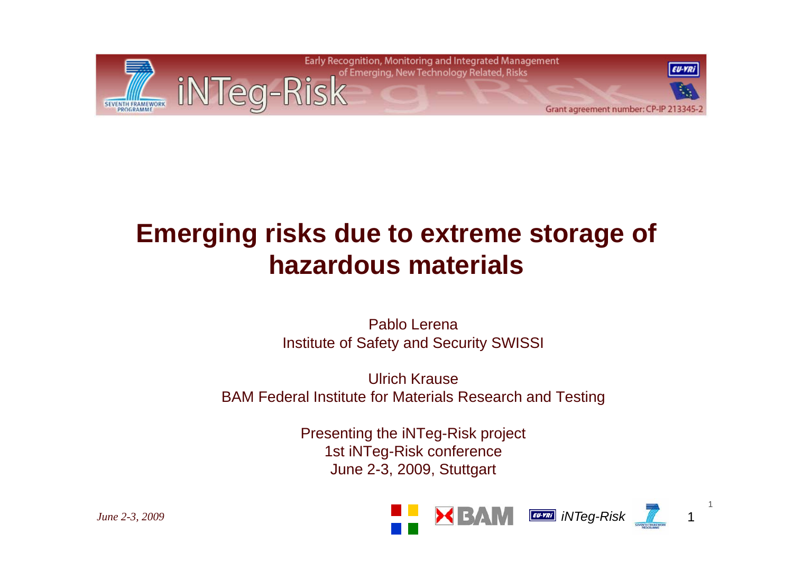

### **Emerging risks due to extreme storage of hazardous materials**

Pablo LerenaInstitute of Safety and Security SWISSI

Ulrich KrauseBAM Federal Institute for Materials Research and Testing

> Presenting the iNTeg-Risk project 1st iNTeg-Risk conference June 2-3, 2009, Stuttgart

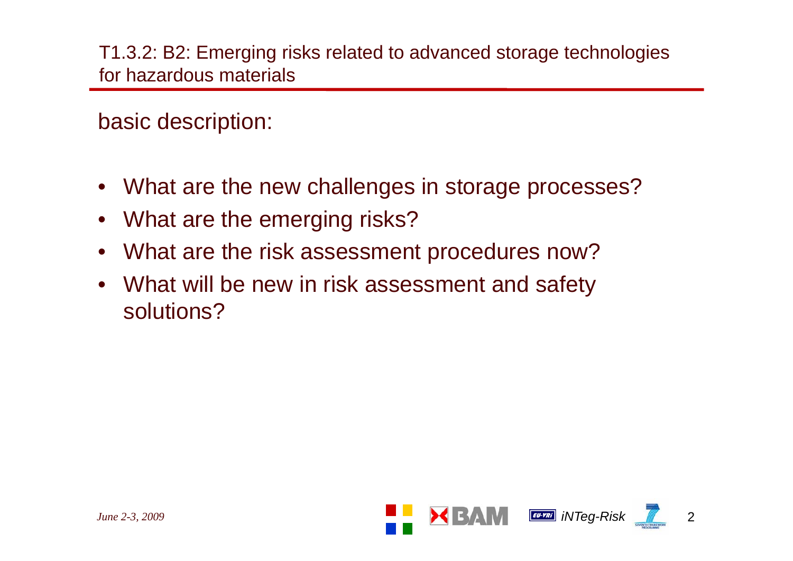T1.3.2: B2: Emerging risks related to advanced storage technologies for hazardous materials

basic description:

- What are the new challenges in storage processes?
- What are the emerging risks?
- What are the risk assessment procedures now?
- What will be new in risk assessment and safety solutions?

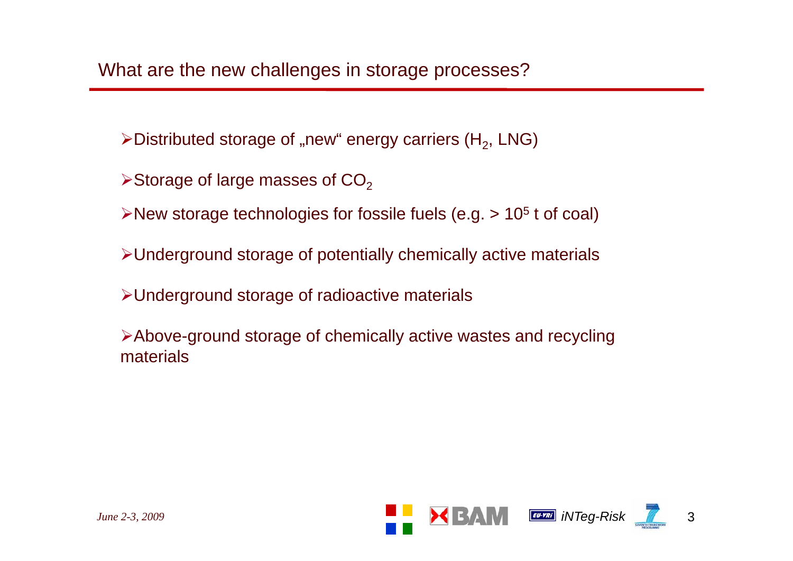$\blacktriangleright$ Distributed storage of "new" energy carriers (H<sub>2</sub>, LNG)

- $\triangleright$ Storage of large masses of CO $_2$
- $\triangleright$ New storage technologies for fossile fuels (e.g. > 10<sup>5</sup> t of coal)
- ¾Underground storage of potentially chemically active materials
- ¾Underground storage of radioactive materials

>Above-ground storage of chemically active wastes and recycling materials

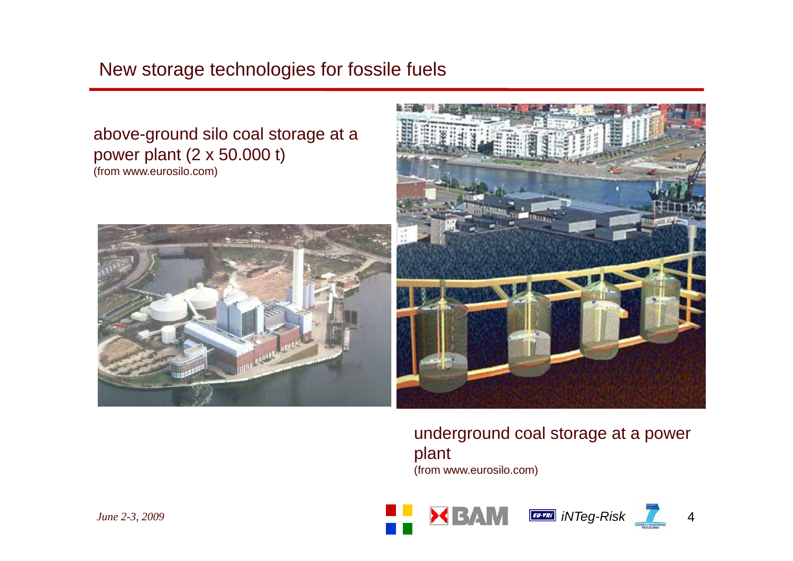#### New storage technologies for fossile fuels

#### above-ground silo coal storage at a power plant (2 x 50.000 t) (from www.eurosilo.com)





underground coal storage at a power plant (from www eurosilo com) www.eurosilo.com)

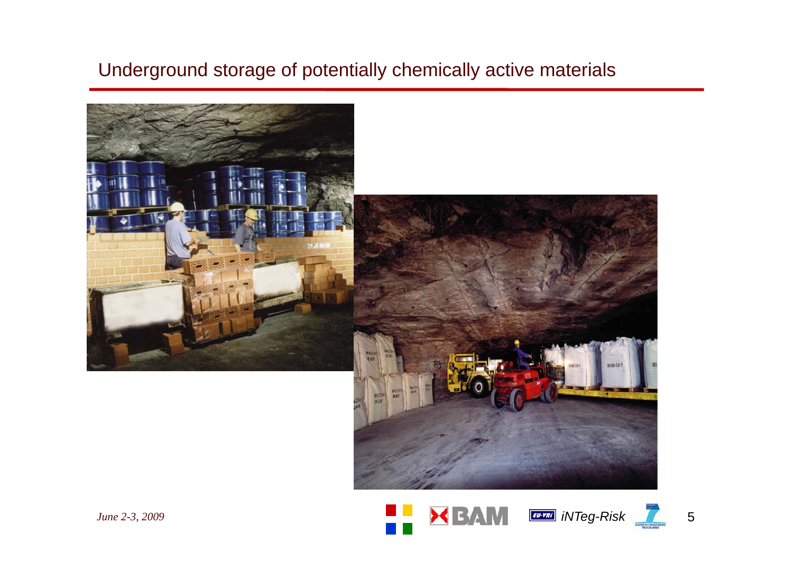#### Underground storage of potentially chemically active materials





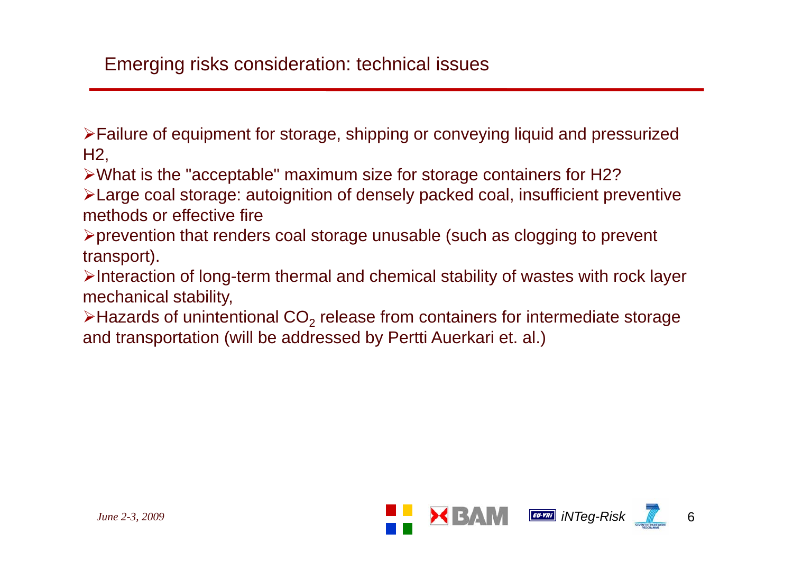#### Emerging risks consideration: technical issues

¾Failure of equipment for storage, shipping or conveying liquid and pressurized H2,

¾What is the "acceptable" maximum size for storage containers for H2?

¾Large coal storage: autoignition of densely packed coal, insufficient preventive methods or effective fire

¾prevention that renders coal storage unusable (such as clogging to prevent transport).

 $\triangleright$ Interaction of long-term thermal and chemical stability of wastes with rock layer mechanical stability,

 $\triangleright$ Hazards of unintentional CO<sub>2</sub> release from containers for intermediate storage and transportation (will be addressed by Pertti Auerkari et. al.)

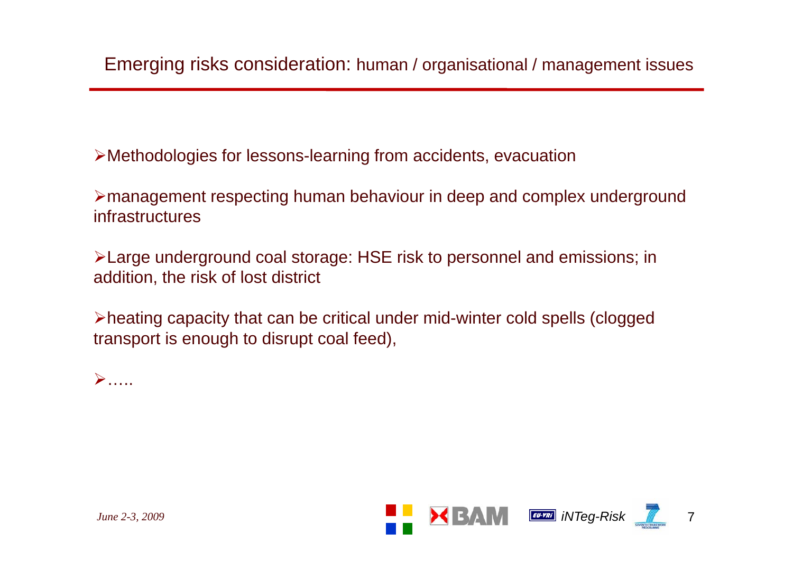$\blacktriangleright$ Methodologies for lessons-learning from accidents, evacuation

¾management respecting human behaviour in deep and complex underground infrastructures

¾Large underground coal storage: HSE risk to personnel and emissions; in addition, the risk of lost district

¾heating capacity that can be critical under mid-winter cold spells (clogged transport is enough to disrupt coal feed),

 $\triangleright$ .....

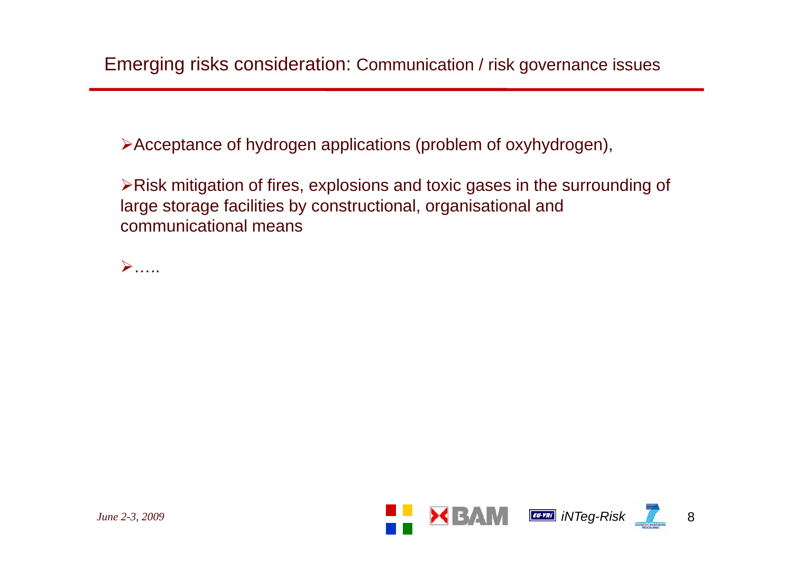≻Acceptance of hydrogen applications (problem of oxyhydrogen),

¾Risk mitigation of fires, explosions and toxic gases in the surrounding of large storage facilities by constructional, organisational and communicational means



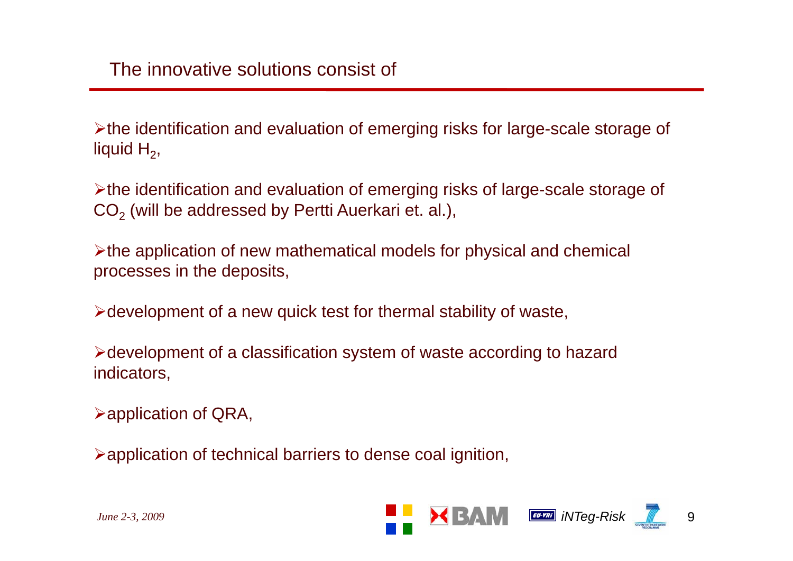¾the identification and evaluation of emerging risks for large-scale storage of liquid  ${\sf H}_2^{},$ 

¾the identification and evaluation of emerging risks of large-scale storage of  $\mathsf{CO}_2$  (will be addressed by Pertti Auerkari et. al.),

¾the application of new mathematical models for physical and chemical processes in the deposits,

 $\triangleright$  development of a new quick test for thermal stability of waste,

¾development of a classification system of waste according to hazard indicators,

 $\blacktriangleright$  application of QRA,

¾application of technical barriers to dense coal ignition,

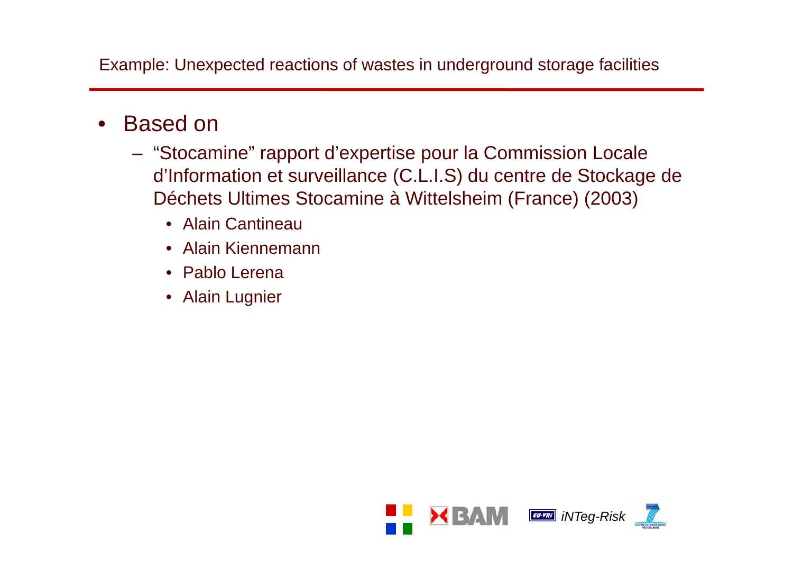Example: Unexpected reactions of wastes in underground storage facilities

- $\bullet$  Based on
	- "Stocamine" rapport d'expertise pour la Commission Locale d'Information et surveillance (C.L.I.S) du centre de Stockage de Déchets Ultimes Stocamine à Wittelsheim (France) (2003)
		- Alain Cantineau
		- Alain Kiennemann
		- Pablo Lerena
		- Alain Lugnier

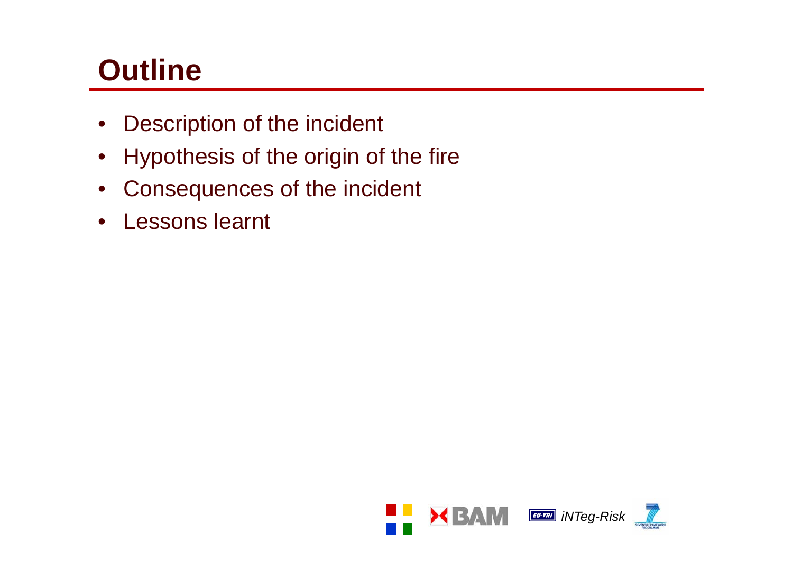# **Outline**

- $\bullet$ Description of the incident
- Hypothesis of the origin of the fire
- $\bullet$ Consequences of the incident
- $\bullet$ Lessons learnt

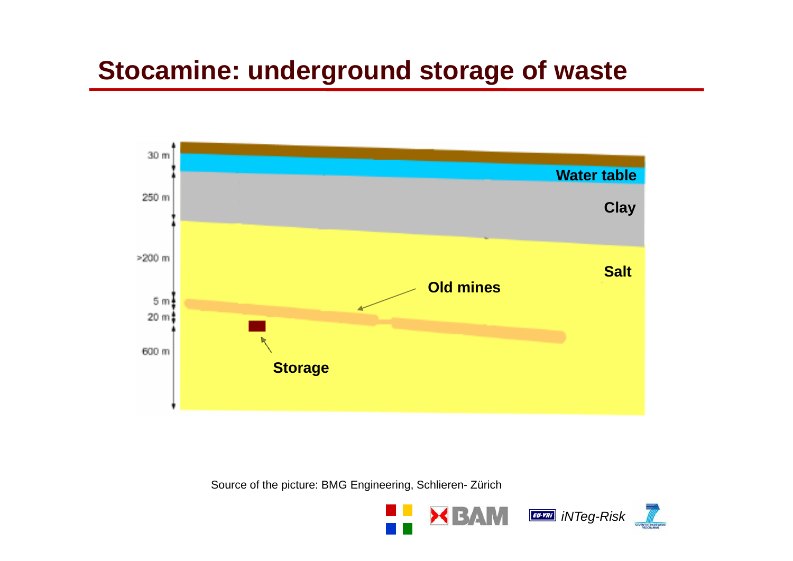### **Stocamine: underground storage of waste**



Source of the picture: BMG Engineering, Schlieren- Zürich

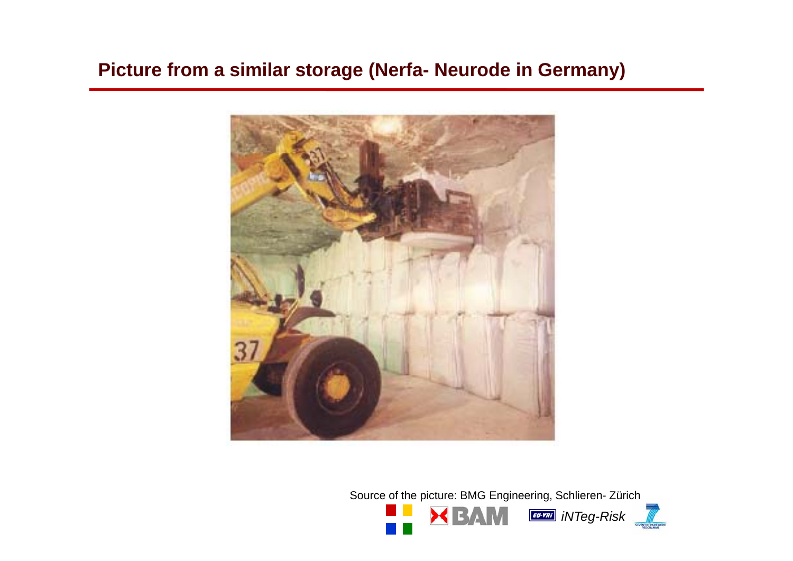**Picture from a similar storage (Nerfa- Neurode in Germany)**



Source of the picture: BMG Engineering, Schlieren- Zürich

 $M_{\perp}$ 



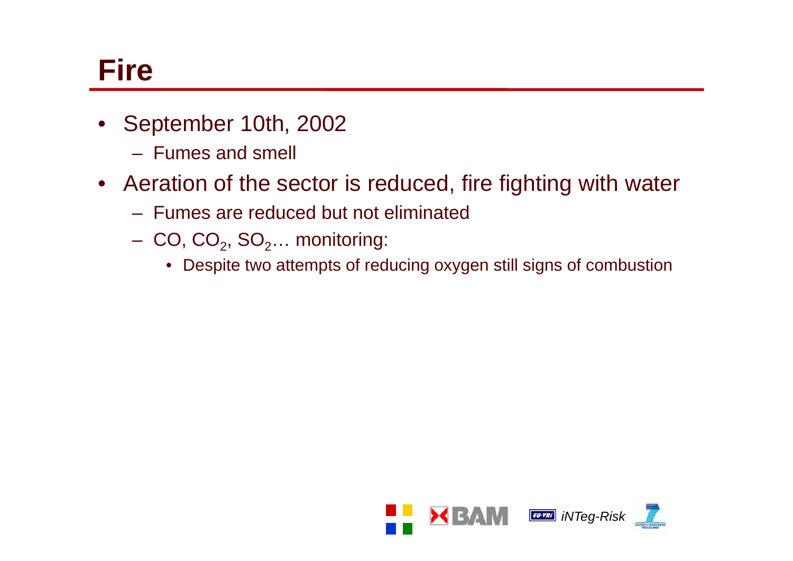## **Fire**

- September 10th, 2002
	- Fumes and smell
- Aeration of the sector is reduced, fire fighting with water
	- Fumes are reduced but not eliminated
	- $CO$ ,  $CO_2$ ,  $SO_2...$  monitoring:
		- Despite two attempts of reducing oxygen still signs of combustion

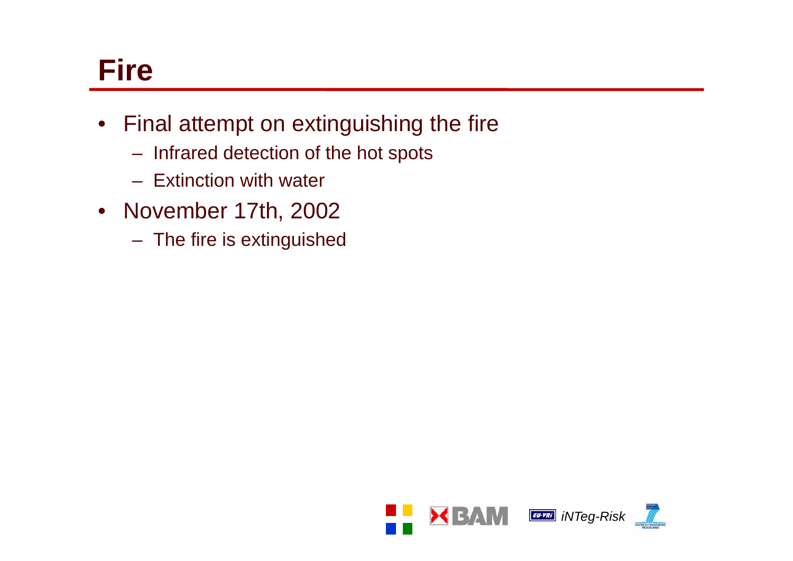## **Fire**

- Final attempt on extinguishing the fire
	- Infrared detection of the hot spots
	- Extinction with water
- November 17th, 2002
	- The fire is extinguished

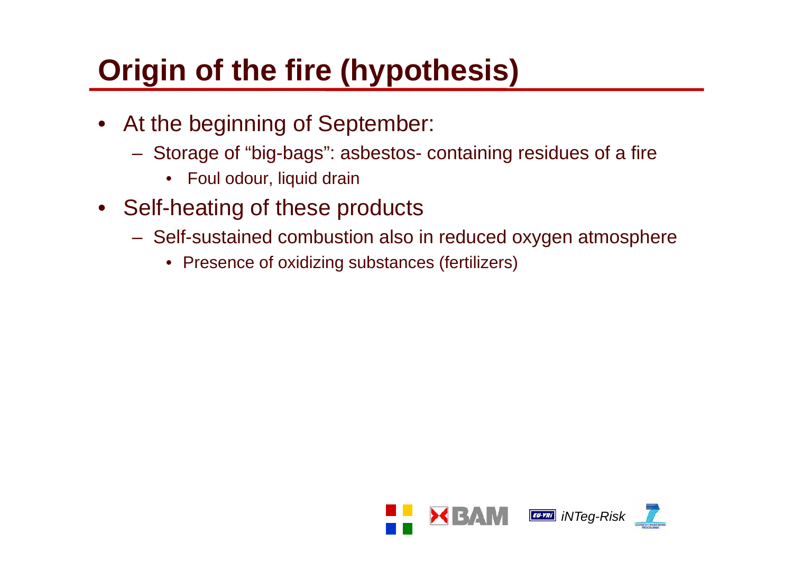# **Origin of the fire (hypothesis)**

- At the beginning of September:
	- Storage of "big-bags": asbestos containing residues of <sup>a</sup> fire
		- Foul odour, liquid drain
- Self-heating of these products
	- Self-sustained combustion also in reduced oxygen atmosphere
		- Presence of oxidizing substances (fertilizers)

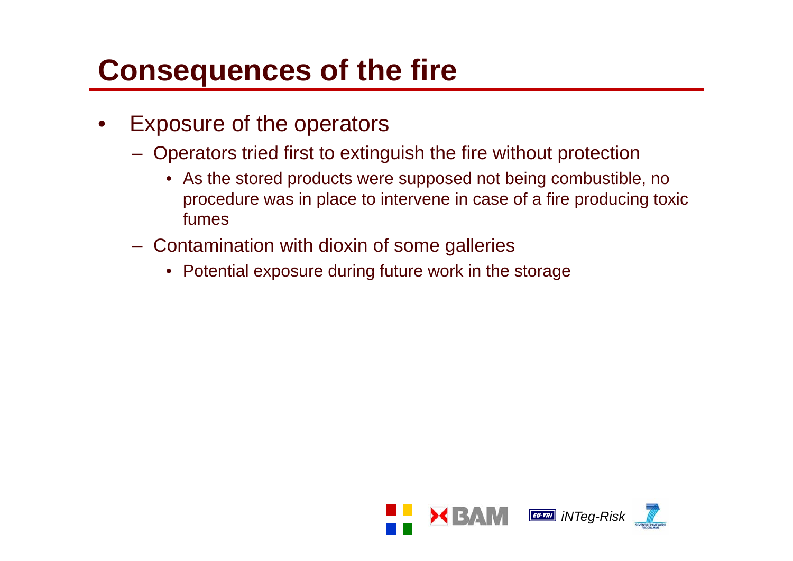# **Consequences of the fire**

- • Exposure of the operators
	- Operators tried first to extinguish the fire without protection
		- As the stored products were supposed not being combustible, no procedure was in place to intervene in case of a fire producing toxic fumes
	- Contamination with dioxin of some galleries
		- Potential exposure during future work in the storage

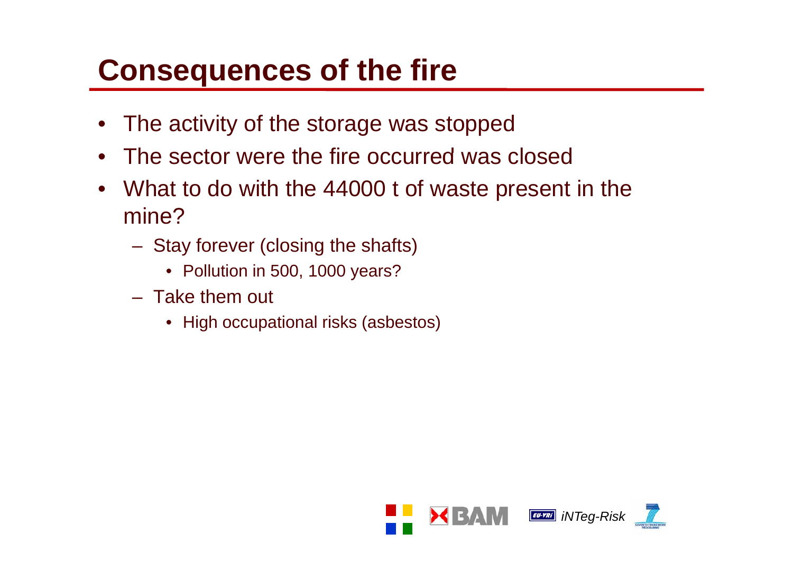# **Consequences of the fire**

- •The activity of the storage was stopped
- •The sector were the fire occurred was closed
- $\bullet$  What to do with the 44000 t of waste present in the mine?
	- Stay forever (closing the shafts)
		- Pollution in 500, 1000 years?
	- Take them out
		- High occupational risks (asbestos)

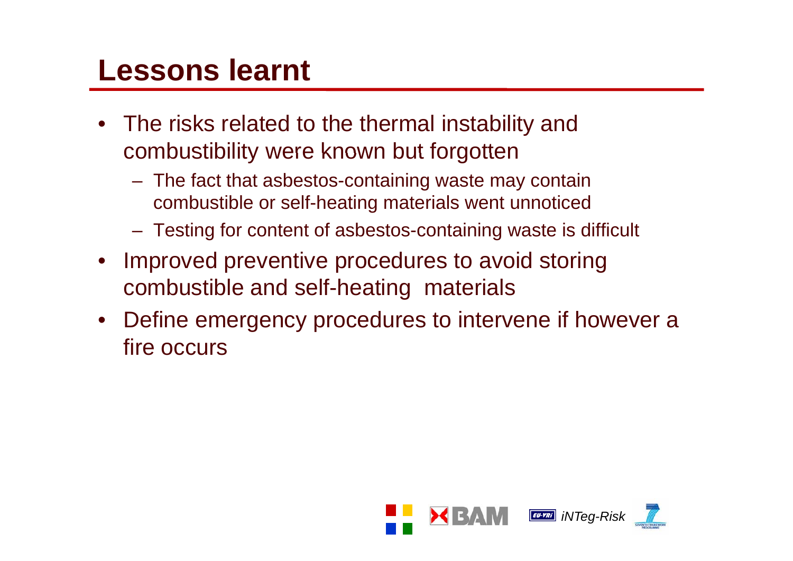### **Lessons learnt**

- The risks related to the thermal instability and combustibility were known but forgotten
	- The fact that asbestos-containing waste may contain combustible or self-heating materials went unnoticed
	- Testing for content of asbestos-containing waste is difficult
- $\bullet$  Improved preventive procedures to avoid storing combustible and self-heating materials
- $\bullet$  Define emergency procedures to intervene if however a fire occurs